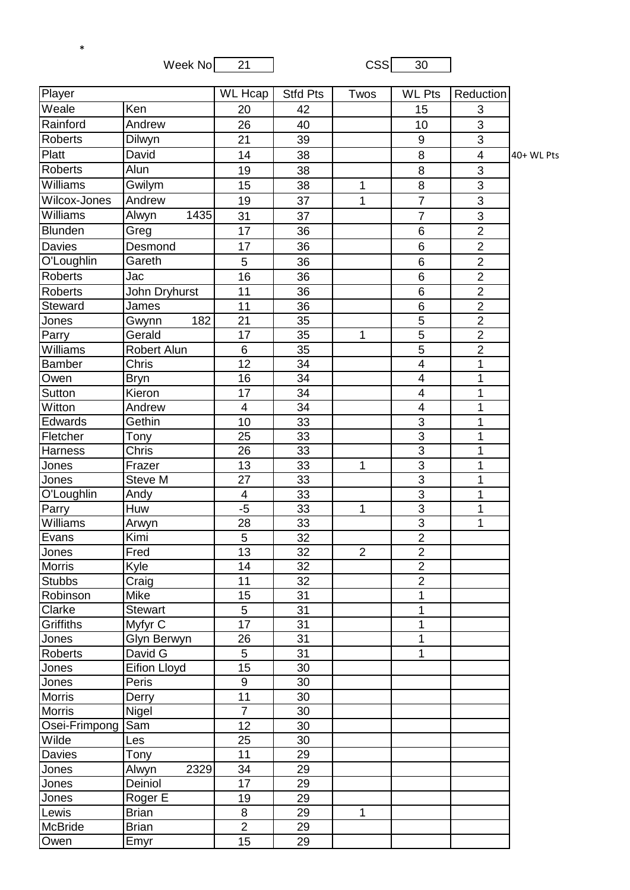Week  $No \overline{\hspace{1cm} 21}$  CSS  $\overline{\hspace{1cm} 30}$ 

\*

| Player         |                | <b>WL Hcap</b>          | <b>Stfd Pts</b> | Twos           | <b>WL Pts</b>            | Reduction      |            |
|----------------|----------------|-------------------------|-----------------|----------------|--------------------------|----------------|------------|
| Weale          | Ken            | 20                      | 42              |                | 15                       | 3              |            |
| Rainford       | Andrew         | 26                      | 40              |                | 10                       | 3              |            |
| <b>Roberts</b> | Dilwyn         | 21                      | 39              |                | 9                        | 3              |            |
| Platt          | David          | 14                      | 38              |                | 8                        | $\overline{4}$ | 40+ WL Pts |
| <b>Roberts</b> | Alun           | 19                      | 38              |                | $\overline{8}$           | $\overline{3}$ |            |
| Williams       | Gwilym         | 15                      | 38              | $\mathbf{1}$   | 8                        | 3              |            |
| Wilcox-Jones   | Andrew         | 19                      | 37              | 1              | $\overline{7}$           | 3              |            |
| Williams       | 1435<br>Alwyn  | 31                      | 37              |                | $\overline{7}$           | 3              |            |
| Blunden        | Greg           | 17                      | 36              |                | 6                        | $\overline{2}$ |            |
| <b>Davies</b>  | Desmond        | 17                      | 36              |                | $\overline{6}$           | $\overline{2}$ |            |
| O'Loughlin     | Gareth         | 5                       | 36              |                | 6                        | $\overline{2}$ |            |
| <b>Roberts</b> | Jac            | 16                      | 36              |                | 6                        | $\overline{2}$ |            |
| <b>Roberts</b> | John Dryhurst  | 11                      | 36              |                | 6                        | $\overline{2}$ |            |
| Steward        | James          | 11                      | 36              |                | $\overline{6}$           | $\overline{2}$ |            |
| Jones          | 182<br>Gwynn   | 21                      | 35              |                | $\overline{5}$           | $\overline{2}$ |            |
| Parry          | Gerald         | 17                      | 35              | $\mathbf 1$    | $\overline{5}$           | $\overline{2}$ |            |
| Williams       | Robert Alun    | $6\phantom{1}6$         | 35              |                | $\overline{5}$           | $\overline{2}$ |            |
| <b>Bamber</b>  | Chris          | 12                      | 34              |                | $\overline{4}$           | 1              |            |
| Owen           | <b>Bryn</b>    | 16                      | 34              |                | $\overline{4}$           | 1              |            |
| Sutton         | Kieron         | 17                      | 34              |                | $\overline{\mathcal{A}}$ | 1              |            |
| Witton         | Andrew         | $\overline{\mathbf{4}}$ | 34              |                | $\overline{4}$           | 1              |            |
| Edwards        | Gethin         | 10                      | 33              |                | 3                        | 1              |            |
| Fletcher       | Tony           | 25                      | $\overline{33}$ |                | $\overline{3}$           | $\mathbf 1$    |            |
| Harness        | Chris          | 26                      | 33              |                | $\overline{3}$           | 1              |            |
| Jones          | Frazer         | 13                      | 33              | 1              | $\overline{3}$           | 1              |            |
| Jones          | Steve M        | 27                      | 33              |                | $\overline{3}$           | 1              |            |
| O'Loughlin     | Andy           | 4                       | 33              |                | $\overline{3}$           | 1              |            |
| Parry          | Huw            | $-5$                    | 33              | $\mathbf{1}$   | $\overline{3}$           | 1              |            |
| Williams       | Arwyn          | 28                      | 33              |                | $\overline{3}$           | 1              |            |
| Evans          | Kimi           | 5                       | 32              |                | $\overline{2}$           |                |            |
| Jones          | Fred           | 13                      | 32              | $\overline{2}$ | $\overline{2}$           |                |            |
| Morris         | Kyle           | 14                      | 32              |                | $\overline{2}$           |                |            |
| <b>Stubbs</b>  | Craig          | 11                      | 32              |                | $\overline{2}$           |                |            |
| Robinson       | Mike           | 15                      | 31              |                | 1                        |                |            |
| Clarke         | <b>Stewart</b> | 5                       | 31              |                | 1                        |                |            |
| Griffiths      | Myfyr C        | 17                      | 31              |                | 1                        |                |            |
| Jones          | Glyn Berwyn    | 26                      | 31              |                | 1                        |                |            |
| Roberts        | David G        | 5                       | 31              |                | $\mathbf{1}$             |                |            |
| Jones          | Eifion Lloyd   | $\overline{15}$         | 30              |                |                          |                |            |
| Jones          | Peris          | $\boldsymbol{9}$        | 30              |                |                          |                |            |
| <b>Morris</b>  | Derry          | 11                      | 30              |                |                          |                |            |
| <b>Morris</b>  | Nigel          | $\overline{7}$          | 30              |                |                          |                |            |
| Osei-Frimpong  | Sam            | 12                      | 30              |                |                          |                |            |
| Wilde          | Les            | 25                      | 30              |                |                          |                |            |
| Davies         | Tony           | 11                      | 29              |                |                          |                |            |
| Jones          | 2329<br>Alwyn  | 34                      | 29              |                |                          |                |            |
| Jones          | Deiniol        | 17                      | 29              |                |                          |                |            |
| Jones          | Roger E        | 19                      | 29              |                |                          |                |            |
| Lewis          | <b>Brian</b>   | $\,8\,$                 | 29              | $\mathbf 1$    |                          |                |            |
| <b>McBride</b> | <b>Brian</b>   | $\overline{2}$          | 29              |                |                          |                |            |
| Owen           | Emyr           | 15                      | 29              |                |                          |                |            |